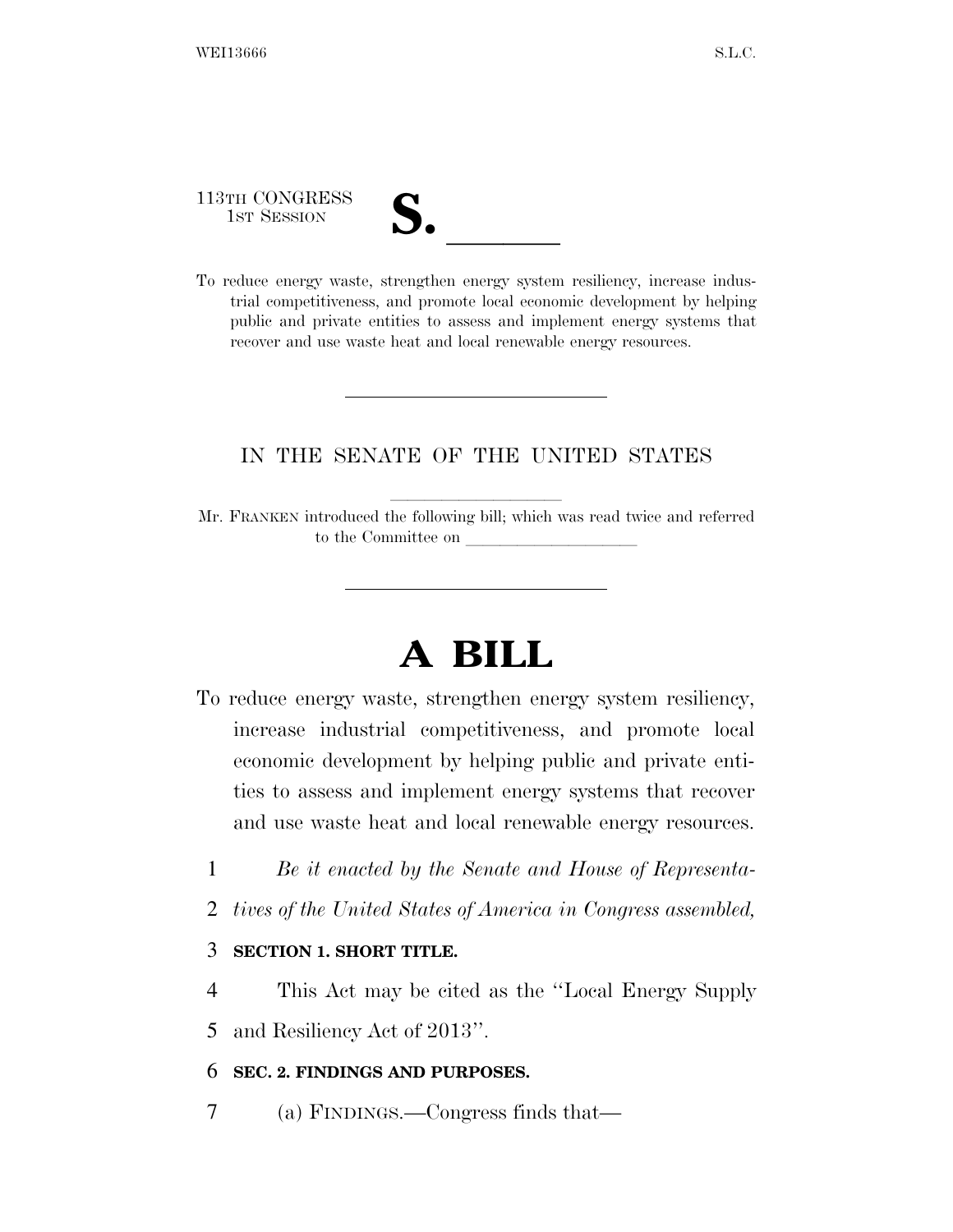113TH CONGRESS

1ST SESSION **S.** ll To reduce energy waste, strengthen energy system resiliency, increase industrial competitiveness, and promote local economic development by helping public and private entities to assess and implement energy systems that recover and use waste heat and local renewable energy resources.

## IN THE SENATE OF THE UNITED STATES

Mr. FRANKEN introduced the following bill; which was read twice and referred to the Committee on

# **A BILL**

- To reduce energy waste, strengthen energy system resiliency, increase industrial competitiveness, and promote local economic development by helping public and private entities to assess and implement energy systems that recover and use waste heat and local renewable energy resources.
	- 1 *Be it enacted by the Senate and House of Representa-*
	- 2 *tives of the United States of America in Congress assembled,*

### 3 **SECTION 1. SHORT TITLE.**

4 This Act may be cited as the ''Local Energy Supply 5 and Resiliency Act of 2013''.

### 6 **SEC. 2. FINDINGS AND PURPOSES.**

7 (a) FINDINGS.—Congress finds that—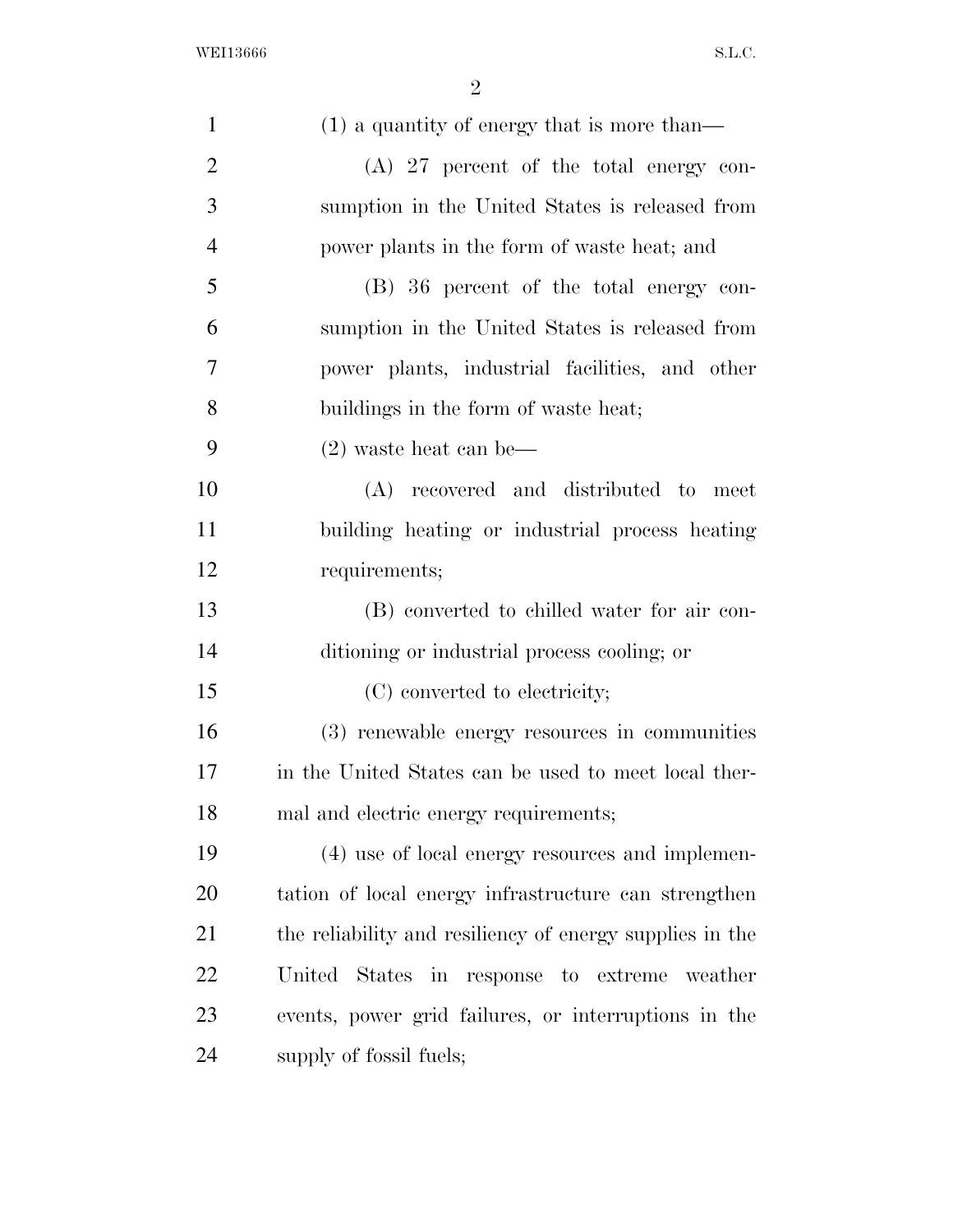| $\mathbf{1}$   | $(1)$ a quantity of energy that is more than—            |
|----------------|----------------------------------------------------------|
| $\overline{2}$ | $(A)$ 27 percent of the total energy con-                |
| 3              | sumption in the United States is released from           |
| $\overline{4}$ | power plants in the form of waste heat; and              |
| 5              | (B) 36 percent of the total energy con-                  |
| 6              | sumption in the United States is released from           |
| 7              | power plants, industrial facilities, and other           |
| 8              | buildings in the form of waste heat;                     |
| 9              | $(2)$ waste heat can be—                                 |
| 10             | (A) recovered and distributed to meet                    |
| 11             | building heating or industrial process heating           |
| 12             | requirements;                                            |
| 13             | (B) converted to chilled water for air con-              |
| 14             | ditioning or industrial process cooling; or              |
| 15             | (C) converted to electricity;                            |
| 16             | (3) renewable energy resources in communities            |
| 17             | in the United States can be used to meet local ther-     |
| 18             | mal and electric energy requirements;                    |
| 19             | (4) use of local energy resources and implemen-          |
| 20             | tation of local energy infrastructure can strengthen     |
| 21             | the reliability and resiliency of energy supplies in the |
| 22             | United States in response to extreme weather             |
| 23             | events, power grid failures, or interruptions in the     |
| 24             | supply of fossil fuels;                                  |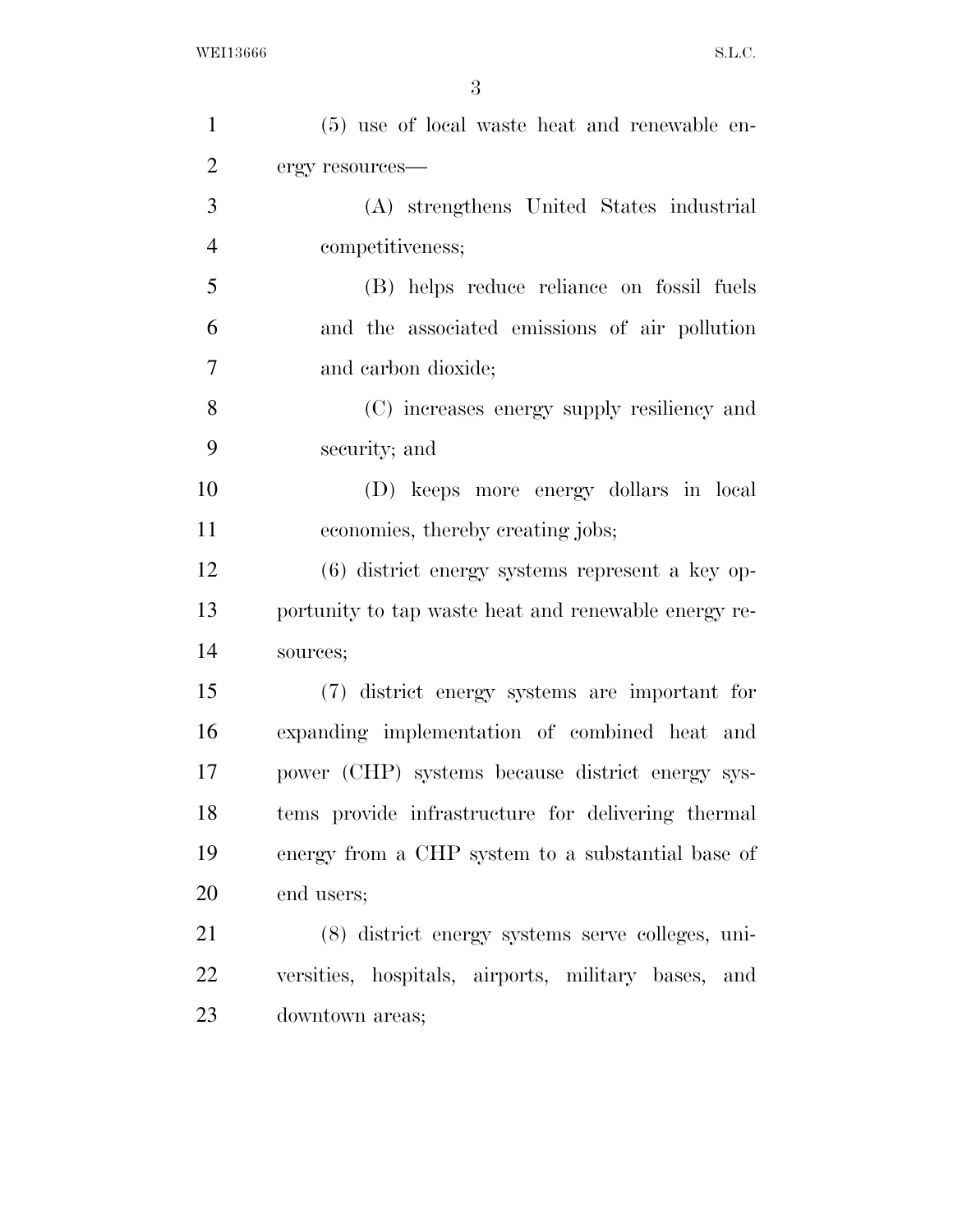| $\mathbf{1}$   | (5) use of local waste heat and renewable en-        |
|----------------|------------------------------------------------------|
| $\overline{2}$ | ergy resources-                                      |
| 3              | (A) strengthens United States industrial             |
| $\overline{4}$ | competitiveness;                                     |
| 5              | (B) helps reduce reliance on fossil fuels            |
| 6              | and the associated emissions of air pollution        |
| 7              | and carbon dioxide;                                  |
| 8              | (C) increases energy supply resiliency and           |
| 9              | security; and                                        |
| 10             | (D) keeps more energy dollars in local               |
| 11             | economies, thereby creating jobs;                    |
| 12             | $(6)$ district energy systems represent a key op-    |
| 13             | portunity to tap waste heat and renewable energy re- |
| 14             | sources;                                             |
| 15             | (7) district energy systems are important for        |
| 16             | expanding implementation of combined heat and        |
| 17             | power (CHP) systems because district energy sys-     |
| 18             | tems provide infrastructure for delivering thermal   |
| 19             | energy from a CHP system to a substantial base of    |
| 20             | end users;                                           |
| 21             | (8) district energy systems serve colleges, uni-     |
| 22             | versities, hospitals, airports, military bases, and  |
| 23             | downtown areas;                                      |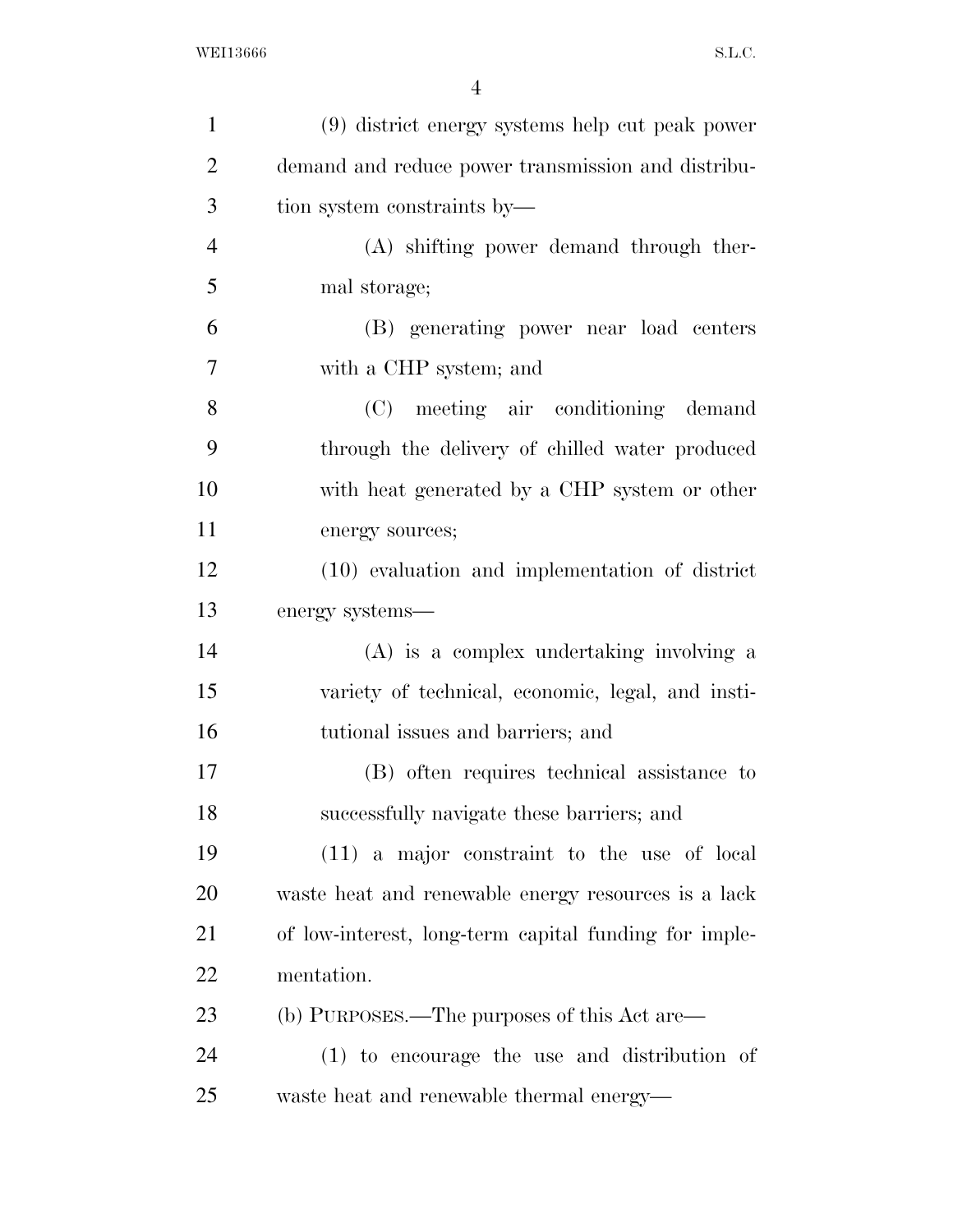| $\mathbf{1}$   | (9) district energy systems help cut peak power       |
|----------------|-------------------------------------------------------|
| $\overline{2}$ | demand and reduce power transmission and distribu-    |
| 3              | tion system constraints by—                           |
| $\overline{4}$ | (A) shifting power demand through ther-               |
| 5              | mal storage;                                          |
| 6              | (B) generating power near load centers                |
| $\overline{7}$ | with a CHP system; and                                |
| 8              | (C) meeting air conditioning demand                   |
| 9              | through the delivery of chilled water produced        |
| 10             | with heat generated by a CHP system or other          |
| 11             | energy sources;                                       |
| 12             | (10) evaluation and implementation of district        |
| 13             | energy systems—                                       |
| 14             | (A) is a complex undertaking involving a              |
| 15             | variety of technical, economic, legal, and insti-     |
| 16             | tutional issues and barriers; and                     |
| 17             | (B) often requires technical assistance to            |
| 18             | successfully navigate these barriers; and             |
| 19             | $(11)$ a major constraint to the use of local         |
| 20             | waste heat and renewable energy resources is a lack   |
| 21             | of low-interest, long-term capital funding for imple- |
| 22             | mentation.                                            |
| 23             | (b) PURPOSES.—The purposes of this Act are—           |
| 24             | (1) to encourage the use and distribution of          |
| 25             | waste heat and renewable thermal energy—              |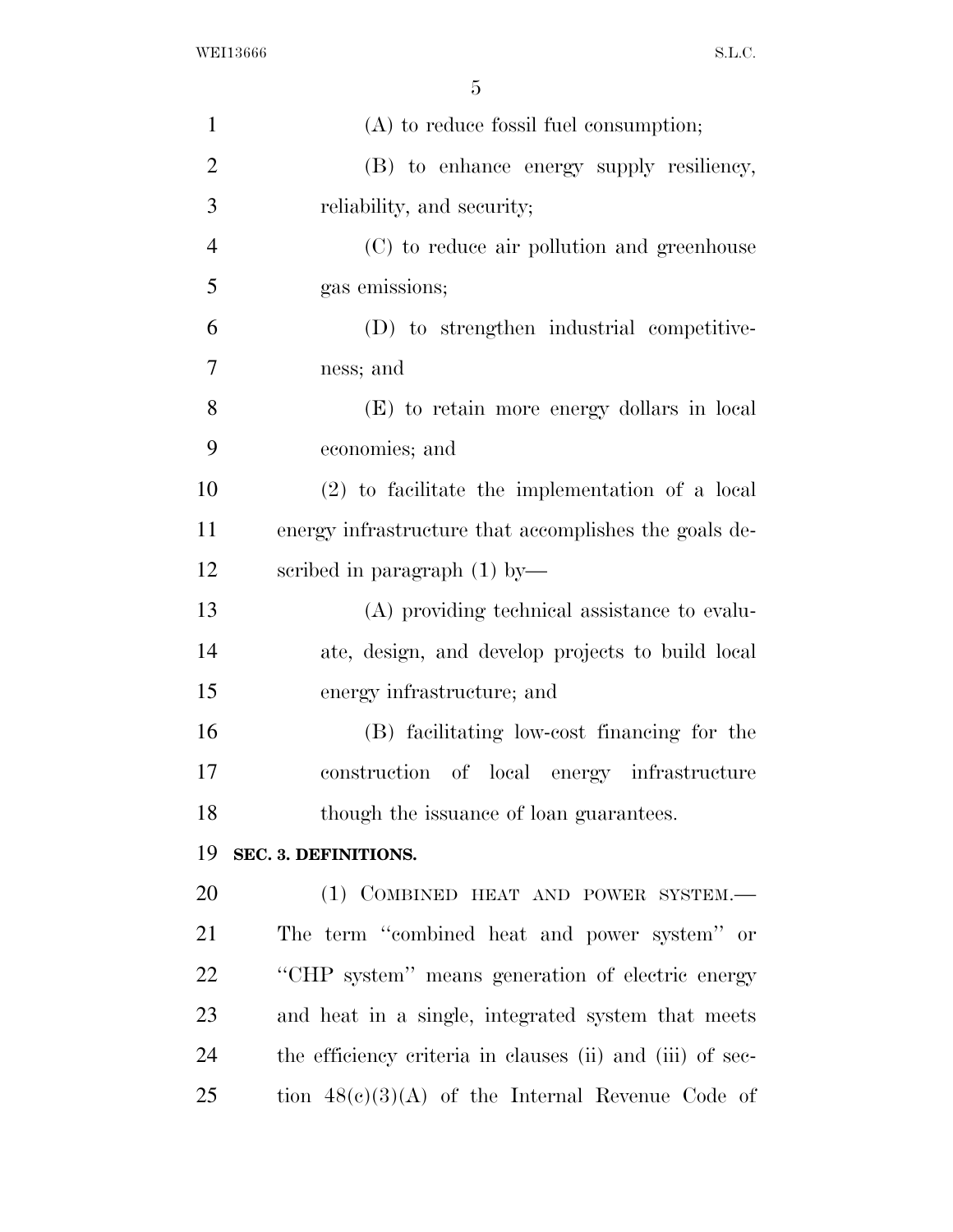| $\mathbf{1}$   | $(A)$ to reduce fossil fuel consumption;                  |
|----------------|-----------------------------------------------------------|
| $\overline{2}$ | (B) to enhance energy supply resiliency,                  |
| 3              | reliability, and security;                                |
| $\overline{4}$ | (C) to reduce air pollution and greenhouse                |
| 5              | gas emissions;                                            |
| 6              | (D) to strengthen industrial competitive-                 |
| 7              | ness; and                                                 |
| 8              | (E) to retain more energy dollars in local                |
| 9              | economies; and                                            |
| 10             | $(2)$ to facilitate the implementation of a local         |
| 11             | energy infrastructure that accomplishes the goals de-     |
| 12             | scribed in paragraph $(1)$ by-                            |
| 13             | (A) providing technical assistance to evalu-              |
| 14             | ate, design, and develop projects to build local          |
| 15             | energy infrastructure; and                                |
| 16             | (B) facilitating low-cost financing for the               |
| 17             | construction of local energy infrastructure               |
| 18             | though the issuance of loan guarantees.                   |
| 19             | SEC. 3. DEFINITIONS.                                      |
| 20             | (1) COMBINED HEAT AND POWER SYSTEM.-                      |
| 21             | The term "combined heat and power system" or              |
| 22             | "CHP system" means generation of electric energy          |
| 23             | and heat in a single, integrated system that meets        |
| 24             | the efficiency criteria in clauses (ii) and (iii) of sec- |
| 25             | tion $48(c)(3)(A)$ of the Internal Revenue Code of        |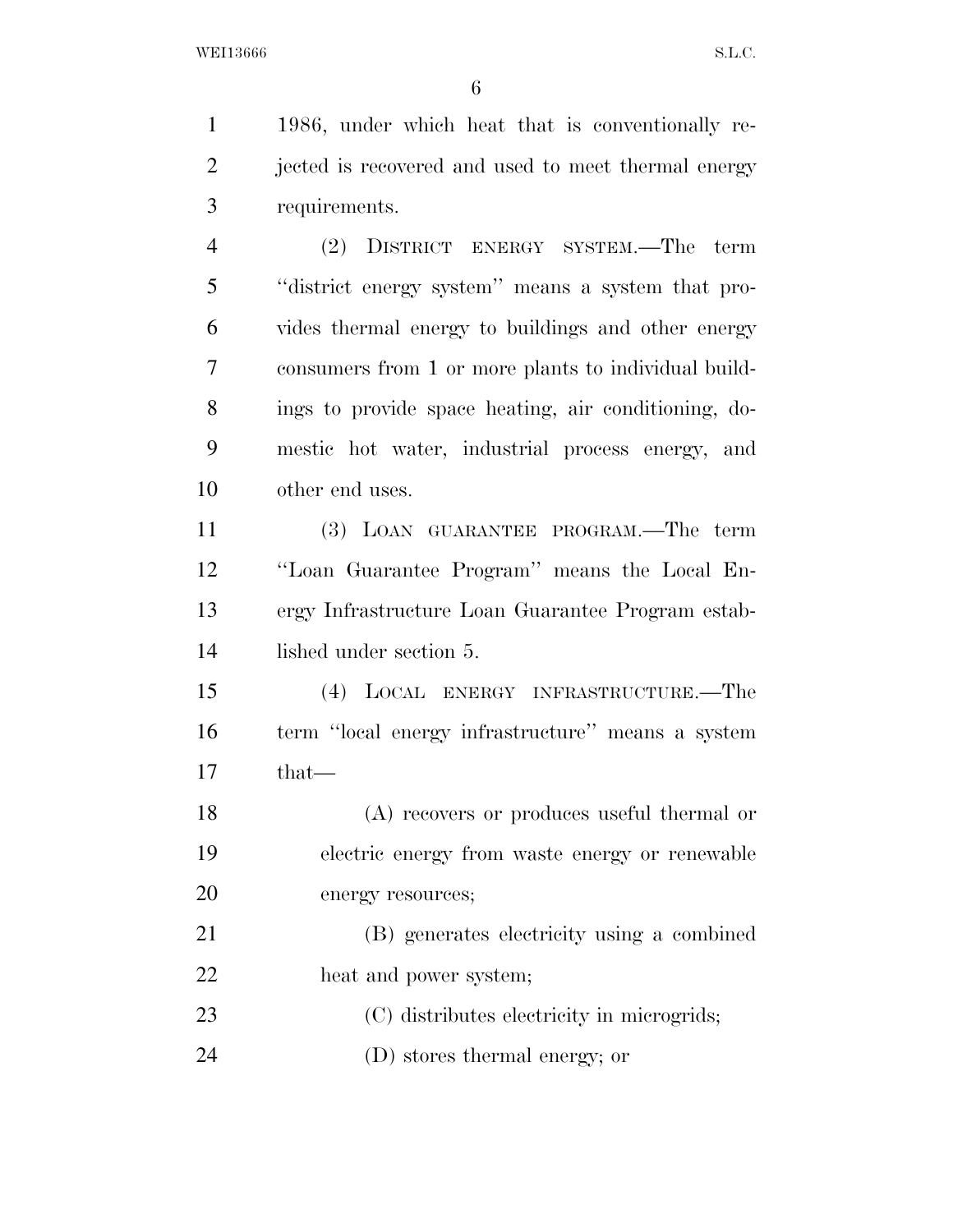1986, under which heat that is conventionally re- jected is recovered and used to meet thermal energy requirements. (2) DISTRICT ENERGY SYSTEM.—The term ''district energy system'' means a system that pro- vides thermal energy to buildings and other energy consumers from 1 or more plants to individual build- ings to provide space heating, air conditioning, do- mestic hot water, industrial process energy, and other end uses. (3) LOAN GUARANTEE PROGRAM.—The term

 ''Loan Guarantee Program'' means the Local En- ergy Infrastructure Loan Guarantee Program estab-lished under section 5.

 (4) LOCAL ENERGY INFRASTRUCTURE.—The term ''local energy infrastructure'' means a system that—

 (A) recovers or produces useful thermal or electric energy from waste energy or renewable energy resources;

 (B) generates electricity using a combined heat and power system;

(C) distributes electricity in microgrids;

(D) stores thermal energy; or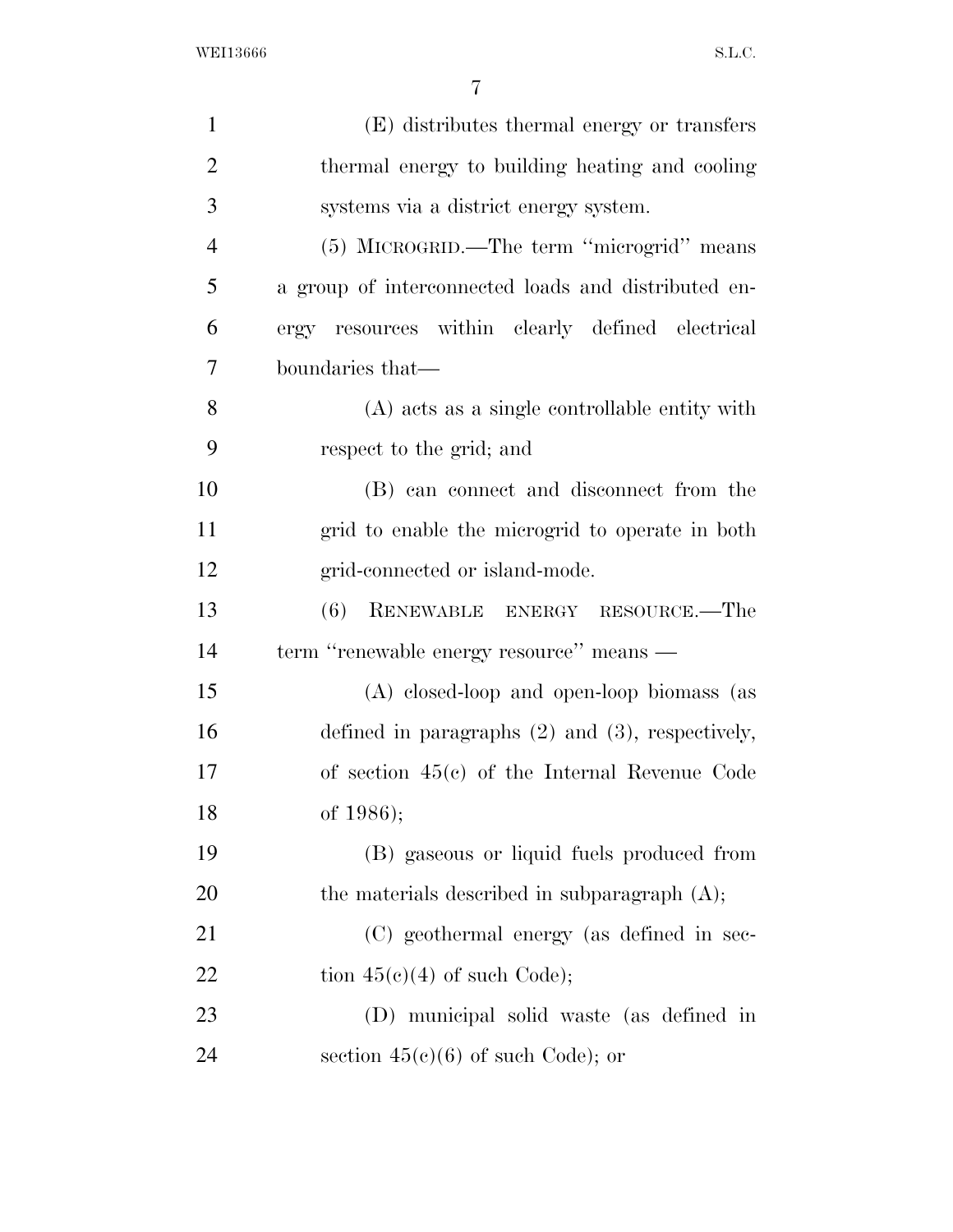| $\mathbf{1}$   | (E) distributes thermal energy or transfers           |
|----------------|-------------------------------------------------------|
| $\overline{2}$ | thermal energy to building heating and cooling        |
| 3              | systems via a district energy system.                 |
| $\overline{4}$ | (5) MICROGRID.—The term "microgrid" means             |
| 5              | a group of interconnected loads and distributed en-   |
| 6              | ergy resources within clearly defined electrical      |
| 7              | boundaries that-                                      |
| 8              | (A) acts as a single controllable entity with         |
| 9              | respect to the grid; and                              |
| 10             | (B) can connect and disconnect from the               |
| 11             | grid to enable the microgrid to operate in both       |
| 12             | grid-connected or island-mode.                        |
| 13             | RENEWABLE ENERGY RESOURCE.-The<br>(6)                 |
| 14             | term "renewable energy resource" means —              |
| 15             | (A) closed-loop and open-loop biomass (as             |
| 16             | defined in paragraphs $(2)$ and $(3)$ , respectively, |
| 17             | of section $45(e)$ of the Internal Revenue Code       |
| 18             | of 1986);                                             |
| 19             | (B) gaseous or liquid fuels produced from             |
| <b>20</b>      | the materials described in subparagraph $(A)$ ;       |
| 21             | (C) geothermal energy (as defined in sec-             |
| 22             | tion $45(e)(4)$ of such Code);                        |
| 23             | (D) municipal solid waste (as defined in              |
| 24             | section $45(e)(6)$ of such Code); or                  |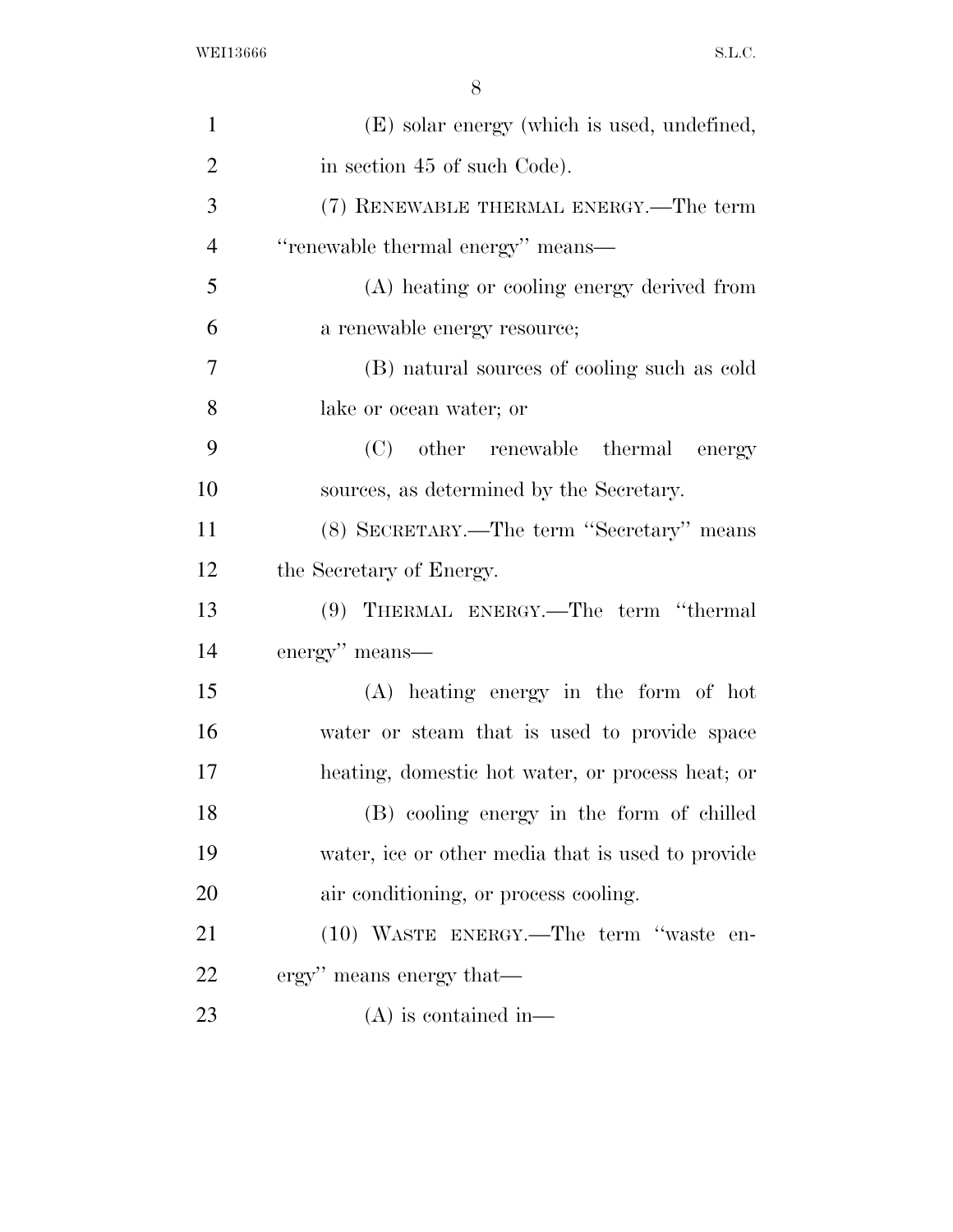| $\mathbf{1}$   | (E) solar energy (which is used, undefined,       |
|----------------|---------------------------------------------------|
| $\overline{2}$ | in section 45 of such Code).                      |
| 3              | (7) RENEWABLE THERMAL ENERGY.—The term            |
| $\overline{4}$ | "renewable thermal energy" means-                 |
| 5              | (A) heating or cooling energy derived from        |
| 6              | a renewable energy resource;                      |
| 7              | (B) natural sources of cooling such as cold       |
| 8              | lake or ocean water; or                           |
| 9              | (C)<br>other renewable thermal<br>energy          |
| 10             | sources, as determined by the Secretary.          |
| 11             | (8) SECRETARY.—The term "Secretary" means         |
| 12             | the Secretary of Energy.                          |
| 13             | (9) THERMAL ENERGY.—The term "thermal             |
| 14             | energy" means—                                    |
| 15             | $(A)$ heating energy in the form of hot           |
| 16             | water or steam that is used to provide space      |
| 17             | heating, domestic hot water, or process heat; or  |
| 18             | (B) cooling energy in the form of chilled         |
| 19             | water, ice or other media that is used to provide |
| 20             | air conditioning, or process cooling.             |
| 21             | (10) WASTE ENERGY.—The term "waste en-            |
| 22             | ergy" means energy that—                          |
| 23             | $(A)$ is contained in—                            |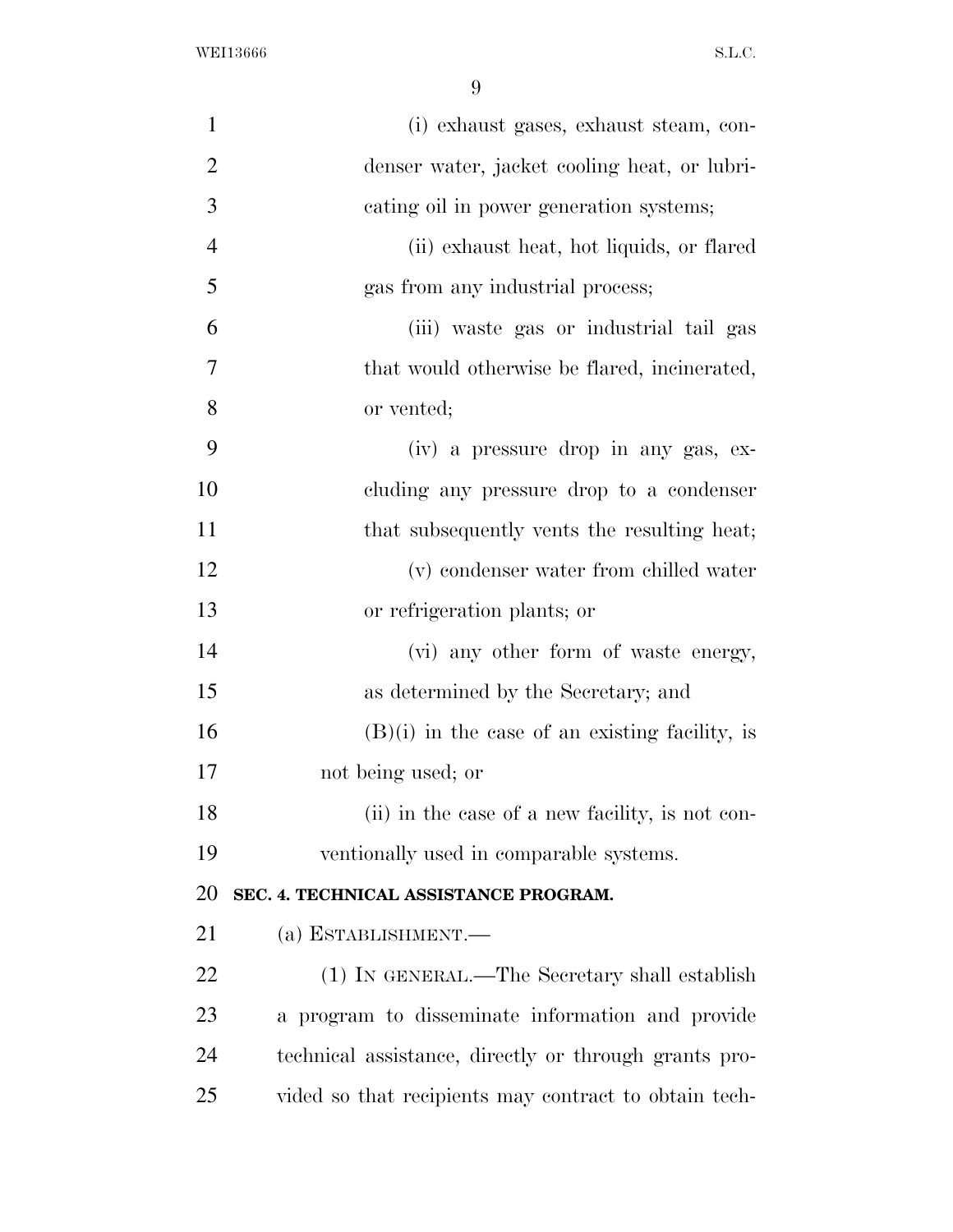| $\mathbf{1}$   | (i) exhaust gases, exhaust steam, con-                |
|----------------|-------------------------------------------------------|
| $\overline{2}$ | denser water, jacket cooling heat, or lubri-          |
| 3              | cating oil in power generation systems;               |
| $\overline{4}$ | (ii) exhaust heat, hot liquids, or flared             |
| 5              | gas from any industrial process;                      |
| 6              | (iii) waste gas or industrial tail gas                |
| 7              | that would otherwise be flared, incinerated,          |
| 8              | or vented;                                            |
| 9              | (iv) a pressure drop in any gas, ex-                  |
| 10             | cluding any pressure drop to a condenser              |
| 11             | that subsequently vents the resulting heat;           |
| 12             | (v) condenser water from chilled water                |
| 13             | or refrigeration plants; or                           |
| 14             | (vi) any other form of waste energy,                  |
| 15             | as determined by the Secretary; and                   |
| 16             | $(B)(i)$ in the case of an existing facility, is      |
| 17             | not being used; or                                    |
| 18             | (ii) in the case of a new facility, is not con-       |
| 19             | ventionally used in comparable systems.               |
| <b>20</b>      | SEC. 4. TECHNICAL ASSISTANCE PROGRAM.                 |
| 21             | (a) ESTABLISHMENT.-                                   |
| <u>22</u>      | (1) IN GENERAL.—The Secretary shall establish         |
| 23             | a program to disseminate information and provide      |
| 24             | technical assistance, directly or through grants pro- |
| 25             | vided so that recipients may contract to obtain tech- |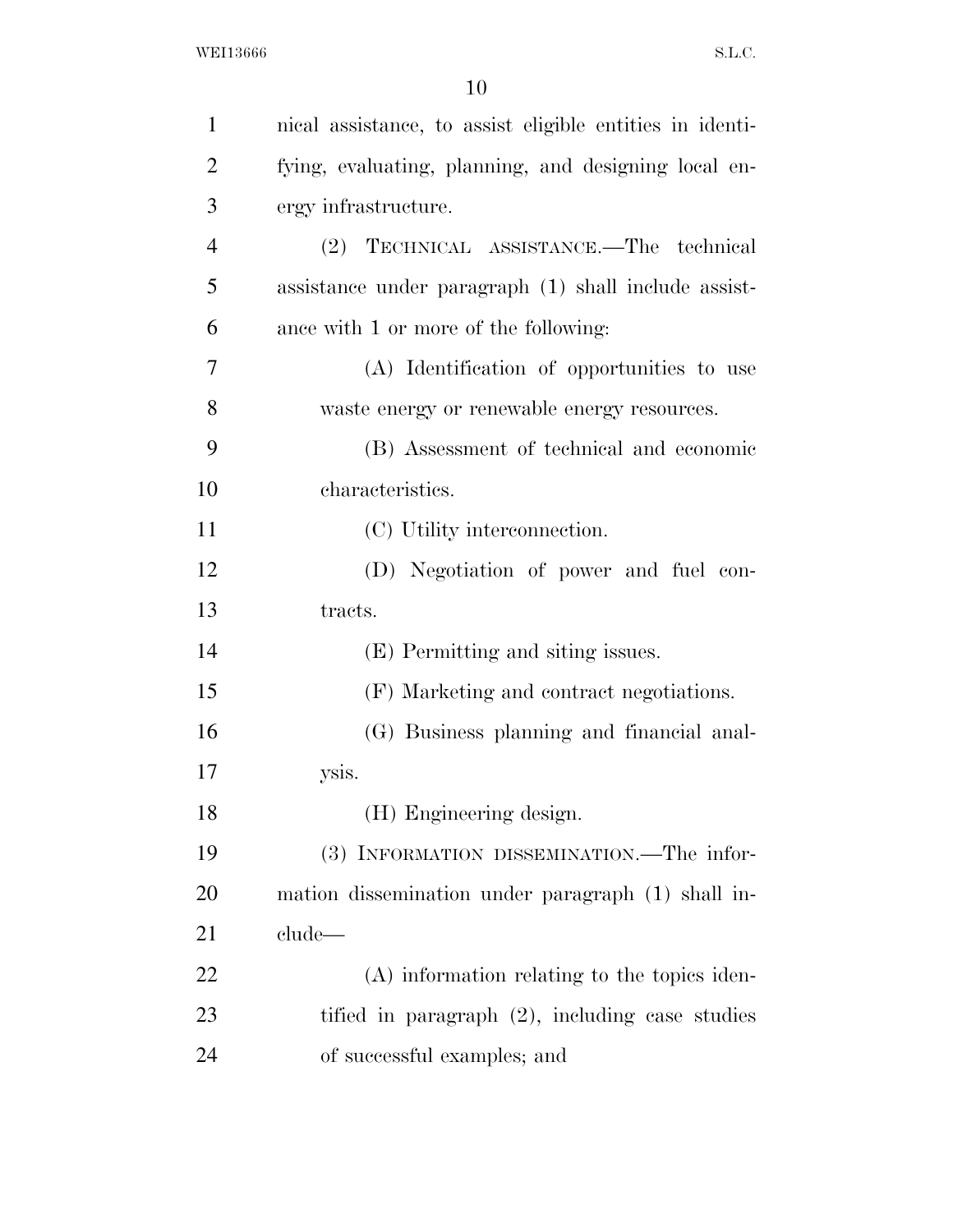| $\mathbf{1}$   | nical assistance, to assist eligible entities in identi- |
|----------------|----------------------------------------------------------|
|                |                                                          |
| $\overline{2}$ | fying, evaluating, planning, and designing local en-     |
| 3              | ergy infrastructure.                                     |
| $\overline{4}$ | (2) TECHNICAL ASSISTANCE.—The technical                  |
| 5              | assistance under paragraph (1) shall include assist-     |
| 6              | ance with 1 or more of the following:                    |
| $\overline{7}$ | (A) Identification of opportunities to use               |
| 8              | waste energy or renewable energy resources.              |
| 9              | (B) Assessment of technical and economic                 |
| 10             | characteristics.                                         |
| 11             | (C) Utility interconnection.                             |
| 12             | (D) Negotiation of power and fuel con-                   |
| 13             | tracts.                                                  |
| 14             | (E) Permitting and siting issues.                        |
| 15             | (F) Marketing and contract negotiations.                 |
| 16             | (G) Business planning and financial anal-                |
| 17             | ysis.                                                    |
| 18             | (H) Engineering design.                                  |
| 19             | (3) INFORMATION DISSEMINATION.—The infor-                |
| 20             | mation dissemination under paragraph (1) shall in-       |
| 21             | clude—                                                   |
| 22             | (A) information relating to the topics iden-             |
| 23             | tified in paragraph $(2)$ , including case studies       |
| 24             | of successful examples; and                              |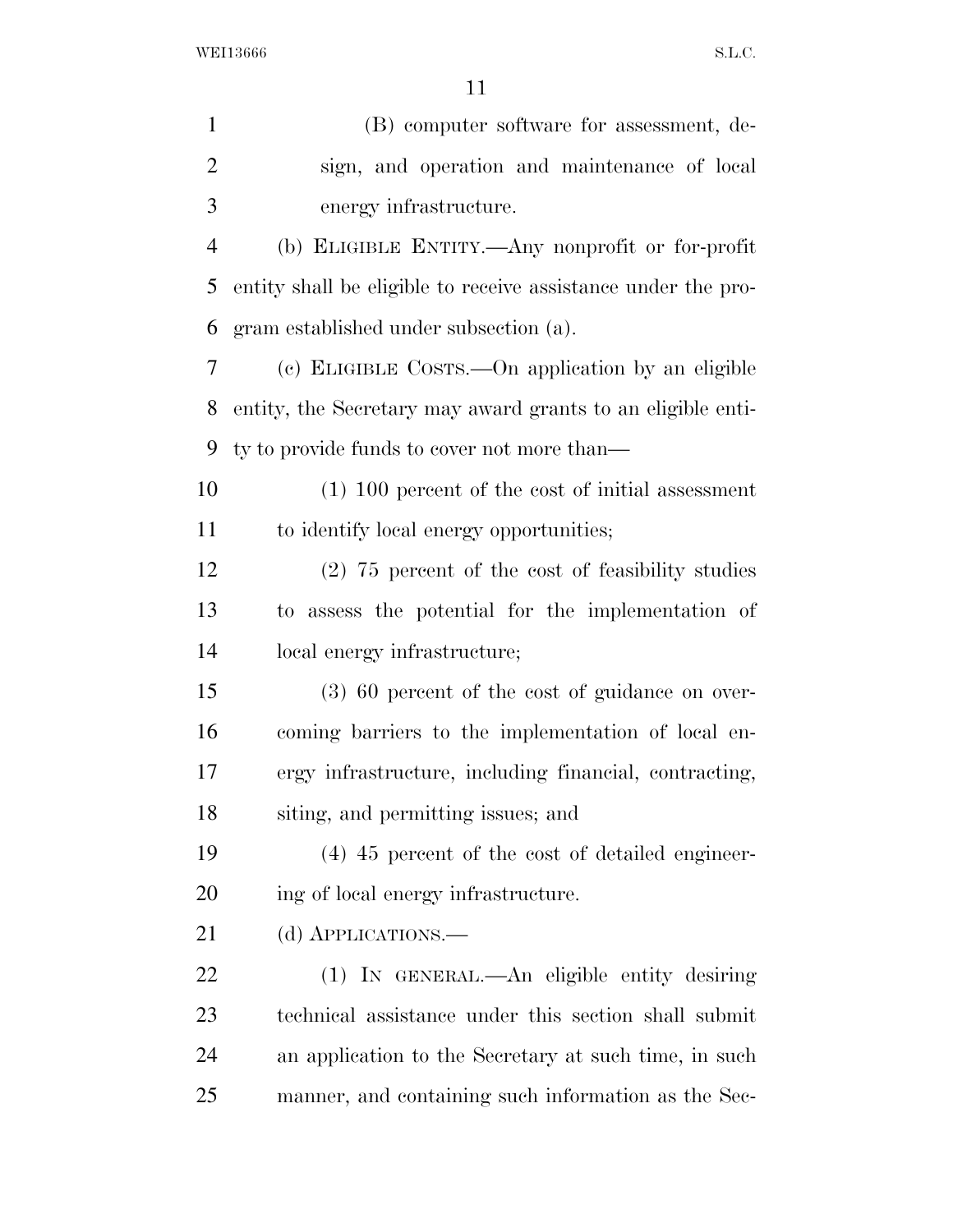(B) computer software for assessment, de- sign, and operation and maintenance of local energy infrastructure. (b) ELIGIBLE ENTITY.—Any nonprofit or for-profit entity shall be eligible to receive assistance under the pro- gram established under subsection (a). (c) ELIGIBLE COSTS.—On application by an eligible entity, the Secretary may award grants to an eligible enti- ty to provide funds to cover not more than— (1) 100 percent of the cost of initial assessment to identify local energy opportunities; (2) 75 percent of the cost of feasibility studies to assess the potential for the implementation of local energy infrastructure; (3) 60 percent of the cost of guidance on over- coming barriers to the implementation of local en- ergy infrastructure, including financial, contracting, siting, and permitting issues; and (4) 45 percent of the cost of detailed engineer-20 ing of local energy infrastructure. 21 (d) APPLICATIONS.— (1) IN GENERAL.—An eligible entity desiring technical assistance under this section shall submit an application to the Secretary at such time, in such manner, and containing such information as the Sec-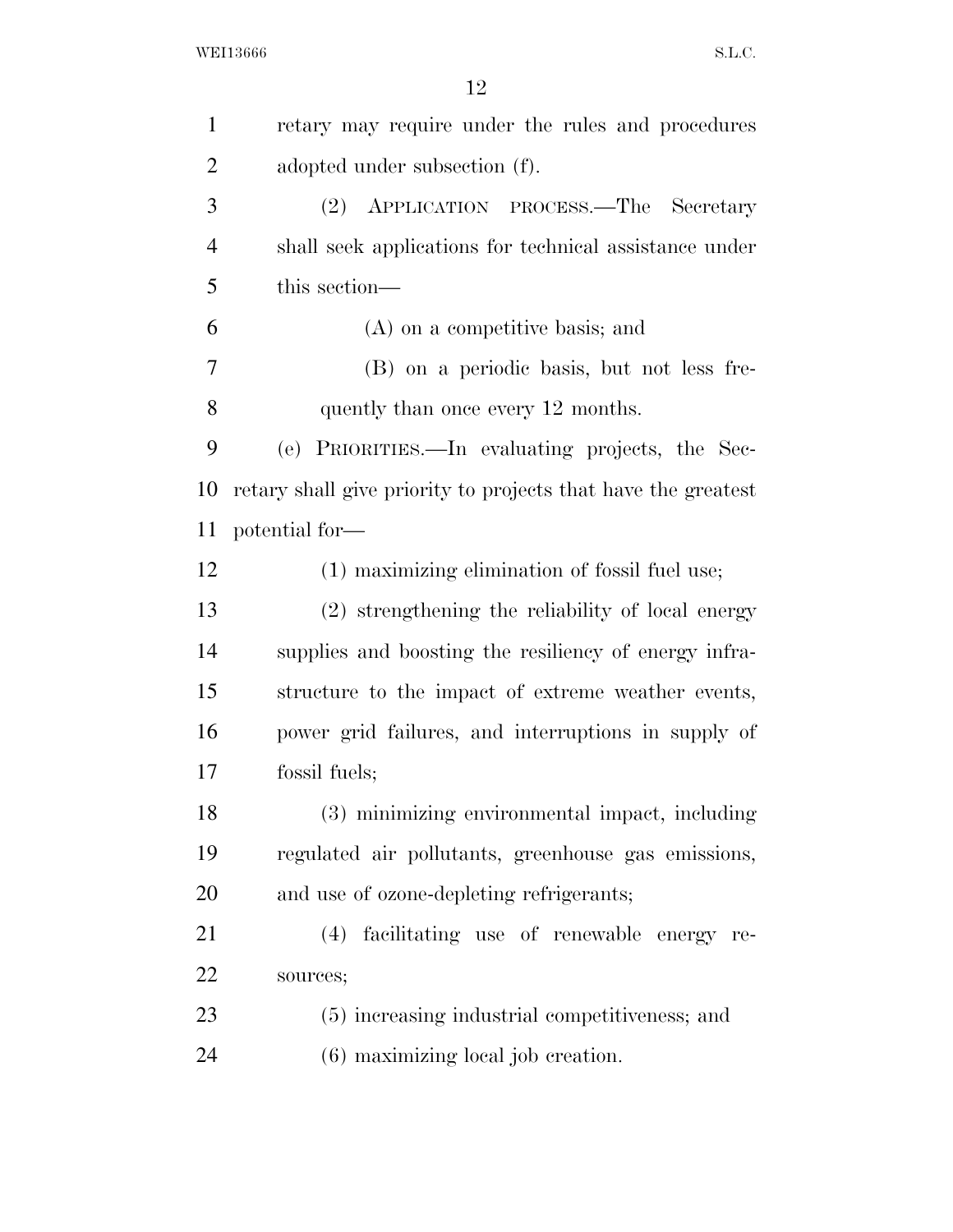| $\mathbf{1}$   | retary may require under the rules and procedures             |
|----------------|---------------------------------------------------------------|
| $\overline{2}$ | adopted under subsection (f).                                 |
| 3              | (2) APPLICATION PROCESS.—The Secretary                        |
| $\overline{4}$ | shall seek applications for technical assistance under        |
| 5              | this section—                                                 |
| 6              | (A) on a competitive basis; and                               |
| 7              | (B) on a periodic basis, but not less fre-                    |
| 8              | quently than once every 12 months.                            |
| 9              | (e) PRIORITIES.—In evaluating projects, the Sec-              |
| 10             | retary shall give priority to projects that have the greatest |
| 11             | potential for-                                                |
| 12             | (1) maximizing elimination of fossil fuel use;                |
| 13             | (2) strengthening the reliability of local energy             |
| 14             | supplies and boosting the resiliency of energy infra-         |
| 15             | structure to the impact of extreme weather events,            |
| 16             | power grid failures, and interruptions in supply of           |
| 17             | fossil fuels;                                                 |
| 18             | (3) minimizing environmental impact, including                |
| 19             | regulated air pollutants, greenhouse gas emissions,           |
| <b>20</b>      | and use of ozone-depleting refrigerants;                      |
| 21             | (4) facilitating use of renewable energy re-                  |
| 22             | sources;                                                      |
| 23             | (5) increasing industrial competitiveness; and                |
| 24             | (6) maximizing local job creation.                            |
|                |                                                               |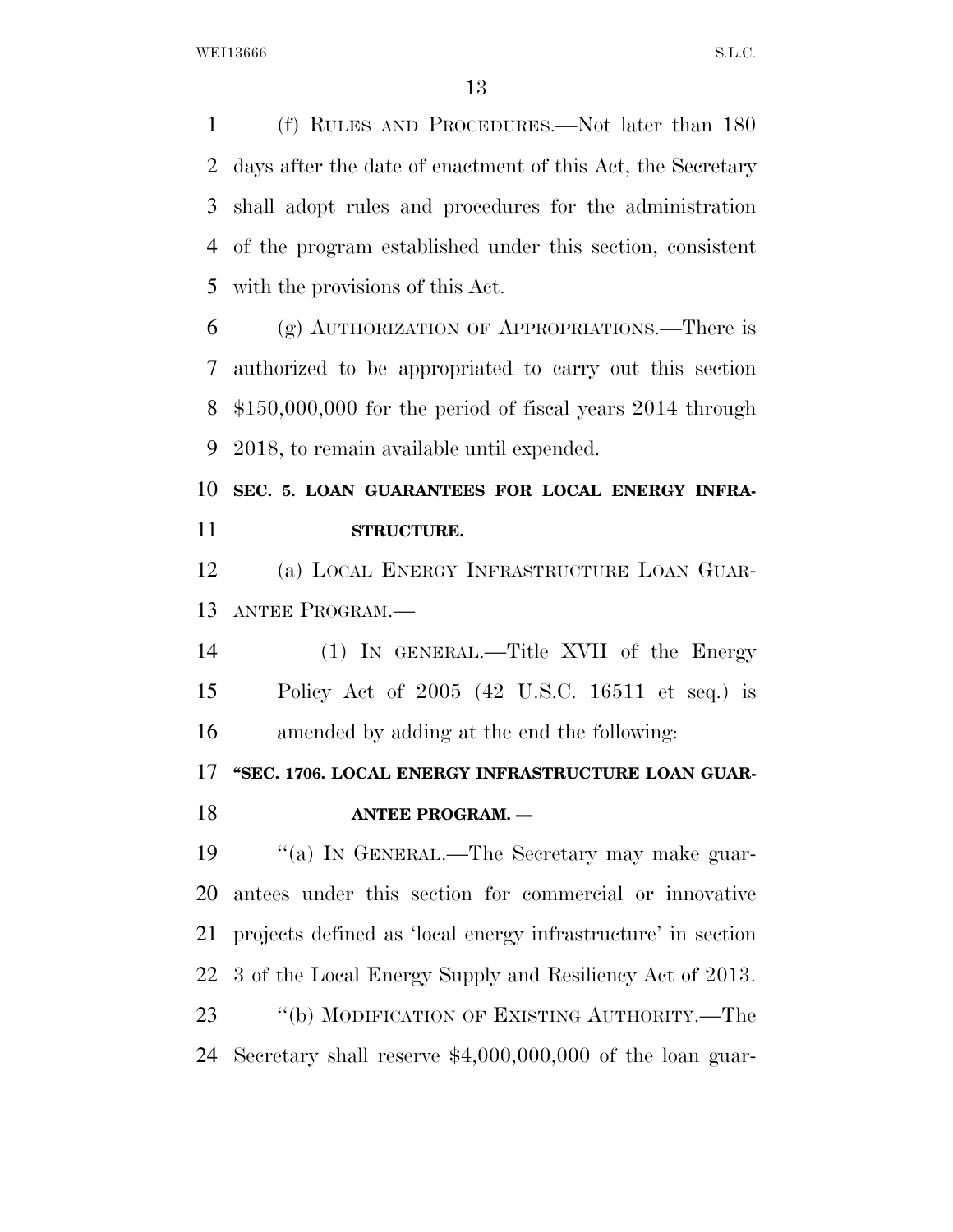(f) RULES AND PROCEDURES.—Not later than 180 days after the date of enactment of this Act, the Secretary shall adopt rules and procedures for the administration of the program established under this section, consistent with the provisions of this Act.

 (g) AUTHORIZATION OF APPROPRIATIONS.—There is authorized to be appropriated to carry out this section \$150,000,000 for the period of fiscal years 2014 through 2018, to remain available until expended.

# **SEC. 5. LOAN GUARANTEES FOR LOCAL ENERGY INFRA-STRUCTURE.**

 (a) LOCAL ENERGY INFRASTRUCTURE LOAN GUAR-ANTEE PROGRAM.—

 (1) IN GENERAL.—Title XVII of the Energy Policy Act of 2005 (42 U.S.C. 16511 et seq.) is amended by adding at the end the following:

### **''SEC. 1706. LOCAL ENERGY INFRASTRUCTURE LOAN GUAR-**

### **ANTEE PROGRAM. —**

 ''(a) IN GENERAL.—The Secretary may make guar- antees under this section for commercial or innovative projects defined as 'local energy infrastructure' in section 3 of the Local Energy Supply and Resiliency Act of 2013. ''(b) MODIFICATION OF EXISTING AUTHORITY.—The Secretary shall reserve \$4,000,000,000 of the loan guar-